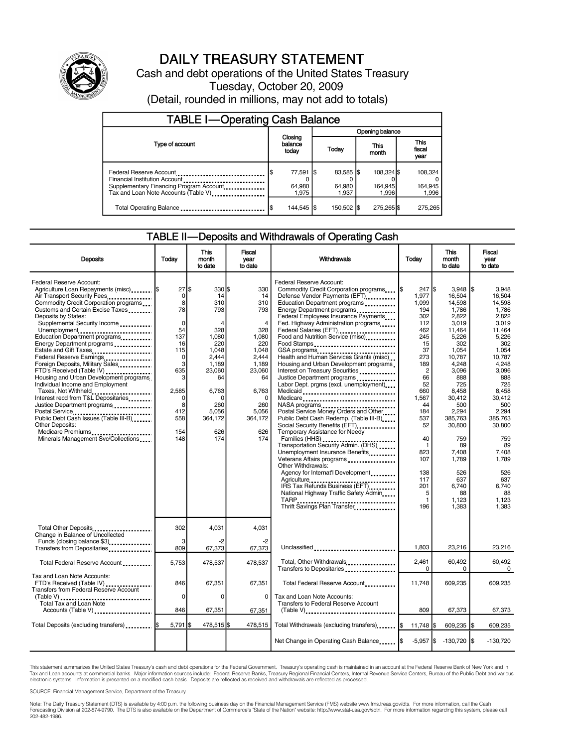

## DAILY TREASURY STATEMENT

Cash and debt operations of the United States Treasury Tuesday, October 20, 2009 (Detail, rounded in millions, may not add to totals)

| <b>TABLE I-Operating Cash Balance</b>                                                                                                       |                                                       |                                |  |                               |  |                                |  |                             |  |
|---------------------------------------------------------------------------------------------------------------------------------------------|-------------------------------------------------------|--------------------------------|--|-------------------------------|--|--------------------------------|--|-----------------------------|--|
|                                                                                                                                             |                                                       |                                |  | Opening balance               |  |                                |  |                             |  |
| Type of account                                                                                                                             | Closing<br>balance<br>This<br>Today<br>today<br>month |                                |  | <b>This</b><br>fiscal<br>year |  |                                |  |                             |  |
| Federal Reserve Account<br>Financial Institution Account<br>Supplementary Financing Program Account<br>Tax and Loan Note Accounts (Table V) |                                                       | 77,591   \$<br>64,980<br>1.975 |  | 83,585 \$<br>64,980<br>1.937  |  | 108,324 \$<br>164,945<br>1.996 |  | 108,324<br>164,945<br>1,996 |  |
| Total Operating Balance                                                                                                                     |                                                       | 144,545   \$                   |  | 150,502 \$                    |  | 275,265 \$                     |  | 275,265                     |  |

#### TABLE II—Deposits and Withdrawals of Operating Cash

|                                                                                                                                                                                                                                                                                                                                                                                                                                                                                                                                                                                                                                                                                                                                                                 |                                                                                                                                                               | This                                                                                                                                                  | Fiscal                                                                                                                                                                    |                                                                                                                                                                                                                                                                                                                                                                                                                                                                                                                                                                                                                                                                                                                                                                                                                                                                                                                                                                                                                                                                             |                                                                                                                                                                                                                                                  | <b>This</b>                                                                                                                                                                                                                                                             | Fiscal                                                                                                                                                                                                                                                                         |
|-----------------------------------------------------------------------------------------------------------------------------------------------------------------------------------------------------------------------------------------------------------------------------------------------------------------------------------------------------------------------------------------------------------------------------------------------------------------------------------------------------------------------------------------------------------------------------------------------------------------------------------------------------------------------------------------------------------------------------------------------------------------|---------------------------------------------------------------------------------------------------------------------------------------------------------------|-------------------------------------------------------------------------------------------------------------------------------------------------------|---------------------------------------------------------------------------------------------------------------------------------------------------------------------------|-----------------------------------------------------------------------------------------------------------------------------------------------------------------------------------------------------------------------------------------------------------------------------------------------------------------------------------------------------------------------------------------------------------------------------------------------------------------------------------------------------------------------------------------------------------------------------------------------------------------------------------------------------------------------------------------------------------------------------------------------------------------------------------------------------------------------------------------------------------------------------------------------------------------------------------------------------------------------------------------------------------------------------------------------------------------------------|--------------------------------------------------------------------------------------------------------------------------------------------------------------------------------------------------------------------------------------------------|-------------------------------------------------------------------------------------------------------------------------------------------------------------------------------------------------------------------------------------------------------------------------|--------------------------------------------------------------------------------------------------------------------------------------------------------------------------------------------------------------------------------------------------------------------------------|
| <b>Deposits</b>                                                                                                                                                                                                                                                                                                                                                                                                                                                                                                                                                                                                                                                                                                                                                 | Todav                                                                                                                                                         | month<br>to date                                                                                                                                      | vear<br>to date                                                                                                                                                           | <b>Withdrawals</b>                                                                                                                                                                                                                                                                                                                                                                                                                                                                                                                                                                                                                                                                                                                                                                                                                                                                                                                                                                                                                                                          | Today                                                                                                                                                                                                                                            | month<br>to date                                                                                                                                                                                                                                                        | vear<br>to date                                                                                                                                                                                                                                                                |
| Federal Reserve Account:<br>Agriculture Loan Repayments (misc)  \$<br>Air Transport Security Fees<br>Commodity Credit Corporation programs<br>Customs and Certain Excise Taxes<br>Deposits by States:<br>Supplemental Security Income<br>Unemployment<br>Education Department programs<br>Energy Department programs<br>Estate and Gift Taxes<br>Federal Reserve Earnings<br>Foreign Deposits, Military Sales<br>FTD's Received (Table IV)<br>Housing and Urban Development programs<br>Individual Income and Employment<br>Taxes, Not Withheld<br>Interest recd from T&L Depositaries<br>Justice Department programs<br>Postal Service<br>Public Debt Cash Issues (Table III-B)<br>Other Deposits:<br>Medicare Premiums<br>Minerals Management Svc/Collections | $27$ \$<br>$\mathbf 0$<br>8<br>78<br>$\Omega$<br>54<br>137<br>16<br>115<br>$\mathbf 0$<br>3<br>635<br>3<br>2,585<br>$\Omega$<br>8<br>412<br>558<br>154<br>148 | $330$ \$<br>14<br>310<br>793<br>328<br>1,080<br>220<br>1,048<br>2,444<br>1,189<br>23,060<br>64<br>6,763<br>c<br>260<br>5.056<br>364,172<br>626<br>174 | 330<br>14<br>310<br>793<br>$\overline{4}$<br>328<br>1,080<br>220<br>1,048<br>2.444<br>1,189<br>23,060<br>64<br>6,763<br>$\Omega$<br>260<br>5.056<br>364,172<br>626<br>174 | Federal Reserve Account:<br>Commodity Credit Corporation programs I\$<br>Defense Vendor Payments (EFT)<br>Education Department programs<br>Energy Department programs<br>Federal Employees Insurance Payments<br>Fed. Highway Administration programs<br>Federal Salaries (EFT)<br><br>Food and Nutrition Service (misc)<br>Food Stamps<br>GSA programs<br>Health and Human Services Grants (misc)<br>Housing and Urban Development programs<br>Interest on Treasury Securities<br>Justice Department programs<br><br>Labor Dept. prgms (excl. unemployment)<br>Medicaid<br>Medicare<br>NASA programs<br>Postal Service Money Orders and Other<br>Public Debt Cash Redemp. (Table III-B)<br>Social Security Benefits (EFT)<br>Temporary Assistance for Needy<br>Families (HHS)<br>Transportation Security Admin. (DHS)<br>Unemployment Insurance Benefits<br>Veterans Affairs programs<br>Other Withdrawals:<br>Agency for Internat'l Development<br>Agriculture<br>IRS Tax Refunds Business (EFT)<br>National Highway Traffic Safety Admin<br>Thrift Savings Plan Transfer | 247S<br>1.977<br>1.099<br>194<br>302<br>112<br>462<br>245<br>15<br>37<br>273<br>189<br>$\overline{2}$<br>66<br>52<br>660<br>1,567<br>44<br>184<br>537<br>52<br>40<br>$\mathbf{1}$<br>823<br>107<br>138<br>117<br>201<br>5<br>$\mathbf{1}$<br>196 | 3.948<br>16.504<br>14.598<br>1,786<br>2.822<br>3.019<br>11,464<br>5,226<br>302<br>1,054<br>10,787<br>4,248<br>3,096<br>888<br>725<br>8,458<br>30,412<br>500<br>2,294<br>385,763<br>30,800<br>759<br>89<br>7.408<br>1.789<br>526<br>637<br>6.740<br>88<br>1,123<br>1.383 | l\$<br>3.948<br>16.504<br>14.598<br>1.786<br>2.822<br>3.019<br>11,464<br>5,226<br>302<br>1,054<br>10.787<br>4,248<br>3,096<br>888<br>725<br>8.458<br>30.412<br>500<br>2.294<br>385.763<br>30,800<br>759<br>89<br>7.408<br>1.789<br>526<br>637<br>6.740<br>88<br>1,123<br>1.383 |
| Total Other Deposits<br>Change in Balance of Uncollected                                                                                                                                                                                                                                                                                                                                                                                                                                                                                                                                                                                                                                                                                                        | 302                                                                                                                                                           | 4,031                                                                                                                                                 | 4,031                                                                                                                                                                     |                                                                                                                                                                                                                                                                                                                                                                                                                                                                                                                                                                                                                                                                                                                                                                                                                                                                                                                                                                                                                                                                             |                                                                                                                                                                                                                                                  |                                                                                                                                                                                                                                                                         |                                                                                                                                                                                                                                                                                |
| Funds (closing balance \$3)<br>Transfers from Depositaries                                                                                                                                                                                                                                                                                                                                                                                                                                                                                                                                                                                                                                                                                                      | 3<br>809                                                                                                                                                      | 67,373                                                                                                                                                | $-2$<br>67,373                                                                                                                                                            | Unclassified                                                                                                                                                                                                                                                                                                                                                                                                                                                                                                                                                                                                                                                                                                                                                                                                                                                                                                                                                                                                                                                                | 1,803                                                                                                                                                                                                                                            | 23,216                                                                                                                                                                                                                                                                  | 23,216                                                                                                                                                                                                                                                                         |
| Total Federal Reserve Account                                                                                                                                                                                                                                                                                                                                                                                                                                                                                                                                                                                                                                                                                                                                   | 5,753                                                                                                                                                         | 478,537                                                                                                                                               | 478,537                                                                                                                                                                   | Total, Other Withdrawals<br>Transfers to Depositaries                                                                                                                                                                                                                                                                                                                                                                                                                                                                                                                                                                                                                                                                                                                                                                                                                                                                                                                                                                                                                       | 2,461<br>$\Omega$                                                                                                                                                                                                                                | 60,492<br>$\Omega$                                                                                                                                                                                                                                                      | 60,492<br>$\Omega$                                                                                                                                                                                                                                                             |
| Tax and Loan Note Accounts:<br>FTD's Received (Table IV)<br>Transfers from Federal Reserve Account                                                                                                                                                                                                                                                                                                                                                                                                                                                                                                                                                                                                                                                              | 846                                                                                                                                                           | 67,351                                                                                                                                                | 67,351                                                                                                                                                                    | Total Federal Reserve Account                                                                                                                                                                                                                                                                                                                                                                                                                                                                                                                                                                                                                                                                                                                                                                                                                                                                                                                                                                                                                                               | 11,748                                                                                                                                                                                                                                           | 609,235                                                                                                                                                                                                                                                                 | 609,235                                                                                                                                                                                                                                                                        |
| Total Tax and Loan Note<br>Accounts (Table V)                                                                                                                                                                                                                                                                                                                                                                                                                                                                                                                                                                                                                                                                                                                   | $\Omega$<br>846                                                                                                                                               | $\Omega$<br>67,351                                                                                                                                    | $\Omega$<br>67,351                                                                                                                                                        | Tax and Loan Note Accounts:<br>Transfers to Federal Reserve Account<br>$(Table V)$                                                                                                                                                                                                                                                                                                                                                                                                                                                                                                                                                                                                                                                                                                                                                                                                                                                                                                                                                                                          | 809                                                                                                                                                                                                                                              | 67,373                                                                                                                                                                                                                                                                  | 67,373                                                                                                                                                                                                                                                                         |
|                                                                                                                                                                                                                                                                                                                                                                                                                                                                                                                                                                                                                                                                                                                                                                 | $5,791$ \$                                                                                                                                                    | 478,515                                                                                                                                               | 478,515                                                                                                                                                                   |                                                                                                                                                                                                                                                                                                                                                                                                                                                                                                                                                                                                                                                                                                                                                                                                                                                                                                                                                                                                                                                                             |                                                                                                                                                                                                                                                  |                                                                                                                                                                                                                                                                         |                                                                                                                                                                                                                                                                                |
| Total Deposits (excluding transfers)                                                                                                                                                                                                                                                                                                                                                                                                                                                                                                                                                                                                                                                                                                                            |                                                                                                                                                               |                                                                                                                                                       |                                                                                                                                                                           | Total Withdrawals (excluding transfers) I\$                                                                                                                                                                                                                                                                                                                                                                                                                                                                                                                                                                                                                                                                                                                                                                                                                                                                                                                                                                                                                                 | 11,748 \$                                                                                                                                                                                                                                        | 609,235                                                                                                                                                                                                                                                                 | l\$<br>609,235                                                                                                                                                                                                                                                                 |
|                                                                                                                                                                                                                                                                                                                                                                                                                                                                                                                                                                                                                                                                                                                                                                 |                                                                                                                                                               |                                                                                                                                                       |                                                                                                                                                                           | Net Change in Operating Cash Balance                                                                                                                                                                                                                                                                                                                                                                                                                                                                                                                                                                                                                                                                                                                                                                                                                                                                                                                                                                                                                                        | $-5,957$ $\sqrt{3}$                                                                                                                                                                                                                              | -130.720 <b>I</b> S                                                                                                                                                                                                                                                     | $-130.720$                                                                                                                                                                                                                                                                     |

This statement summarizes the United States Treasury's cash and debt operations for the Federal Government. Treasury's operating cash is maintained in an account at the Federal Reserve Bank of New York and in Tax and Loan accounts at commercial banks. Major information sources include: Federal Reserve Banks, Treasury Regional Financial Centers, Internal Revenue Service Centers, Bureau of the Public Debt and various<br>electronic s

SOURCE: Financial Management Service, Department of the Treasury

Note: The Daily Treasury Statement (DTS) is available by 4:00 p.m. the following business day on the Financial Management Service (FMS) website www.fms.treas.gov/dts. For more information, call the Cash<br>Forecasting Divisio